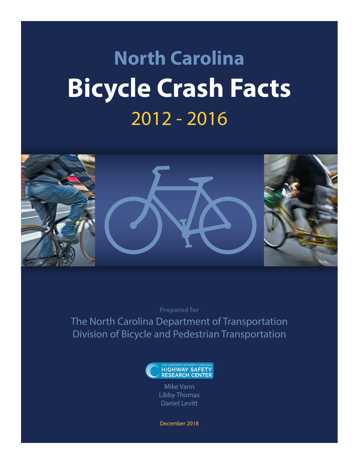# **North Carolina Bicycle Crash Facts** 2012 - 2016



**Prepared for**

The North Carolina Department of Transportation Division of Bicycle and Pedestrian Transportation



Mike Vann Libby Thomas Daniel Levitt

December 2018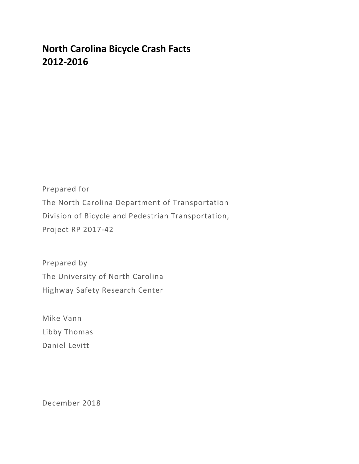# **North Carolina Bicycle Crash Facts 2012-2016**

Prepared for The North Carolina Department of Transportation Division of Bicycle and Pedestrian Transportation, Project RP 2017-42

Prepared by The University of North Carolina Highway Safety Research Center

Mike Vann Libby Thomas Daniel Levitt

December 2018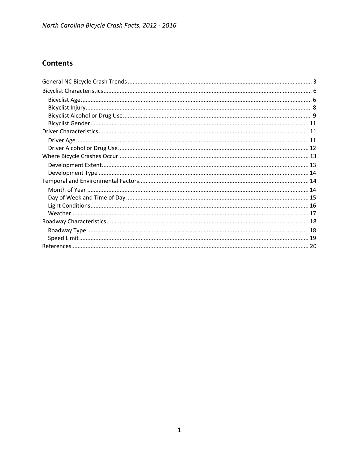## **Contents**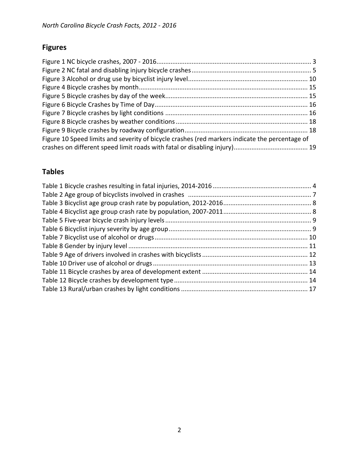## **Figures**

| Figure 10 Speed limits and severity of bicycle crashes (red markers indicate the percentage of |  |
|------------------------------------------------------------------------------------------------|--|
|                                                                                                |  |

## **Tables**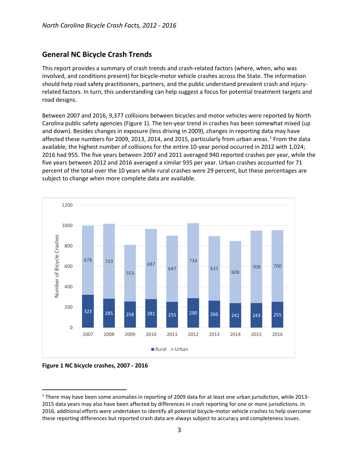## <span id="page-4-0"></span>**General NC Bicycle Crash Trends**

This report provides a summary of crash trends and crash-related factors (where, when, who was involved, and conditions present) for bicycle-motor vehicle crashes across the State. The information should help road safety practitioners, partners, and the public understand prevalent crash and injuryrelated factors. In turn, this understanding can help suggest a focus for potential treatment targets and road designs.

Between 2007 and 2016, 9,377 collisions between bicycles and motor vehicles were reported by North Carolina public safety agencies [\(Figure 1\)](#page-4-1). The ten-year trend in crashes has been somewhat mixed (up and down). Besides changes in exposure (less driving in 2009), changes in reporting data may have affected these numbers for 2009, 20[1](#page-4-2)3, 2014, and 2015, particularly from urban areas.<sup>1</sup> From the data available, the highest number of collisions for the entire 10-year period occurred in 2012 with 1,024; 2016 had 955. The five years between 2007 and 2011 averaged 940 reported crashes per year, while the five years between 2012 and 2016 averaged a similar 935 per year. Urban crashes accounted for 71 percent of the total over the 10 years while rural crashes were 29 percent, but these percentages are subject to change when more complete data are available.



<span id="page-4-1"></span>**Figure 1 NC bicycle crashes, 2007 - 2016** 

<span id="page-4-2"></span> <sup>1</sup> There may have been some anomalies in reporting of 2009 data for at least one urban jurisdiction, while 2013- 2015 data years may also have been affected by differences in crash reporting for one or more jurisdictions. In 2016, additional efforts were undertaken to identify all potential bicycle-motor vehicle crashes to help overcome these reporting differences but reported crash data are always subject to accuracy and completeness issues.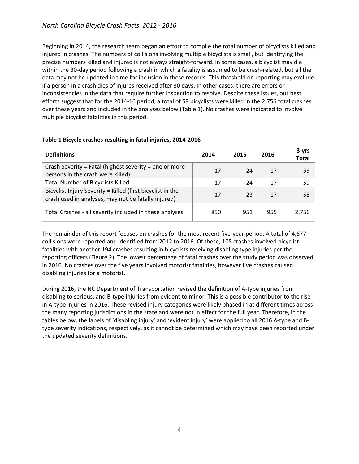Beginning in 2014, the research team began an effort to compile the total number of bicyclists killed and injured in crashes. The numbers of collisions involving multiple bicyclists is small, but identifying the precise numbers killed and injured is not always straight-forward. In some cases, a bicyclist may die within the 30-day period following a crash in which a fatality is assumed to be crash-related, but all the data may not be updated in time for inclusion in these records. This threshold on reporting may exclude if a person in a crash dies of injures received after 30 days. In other cases, there are errors or inconsistencies in the data that require further inspection to resolve. Despite these issues, our best efforts suggest that for the 2014-16 period, a total of 59 bicyclists were killed in the 2,756 total crashes over these years and included in the analyses below [\(Table 1\)](#page-5-1). No crashes were indicated to involve multiple bicyclist fatalities in this period.

| <b>Definitions</b>                                                                                                | 2014 | 2015 | 2016 | $3 - vrs$<br><b>Total</b> |
|-------------------------------------------------------------------------------------------------------------------|------|------|------|---------------------------|
| Crash Severity = Fatal (highest severity = one or more<br>persons in the crash were killed)                       | 17   | 24   | 17   | 59                        |
| <b>Total Number of Bicyclists Killed</b>                                                                          | 17   | 24   | 17   | 59                        |
| Bicyclist Injury Severity = Killed (first bicyclist in the<br>crash used in analyses, may not be fatally injured) | 17   | 23   | 17   | 58                        |
| Total Crashes - all severity included in these analyses                                                           | 850  | 951  | 955  | 2,756                     |

#### <span id="page-5-1"></span><span id="page-5-0"></span>**Table 1 Bicycle crashes resulting in fatal injuries, 2014-2016**

The remainder of this report focuses on crashes for the most recent five-year period. A total of 4,677 collisions were reported and identified from 2012 to 2016. Of these, 108 crashes involved bicyclist fatalities with another 194 crashes resulting in bicyclists receiving disabling type injuries per the reporting officers [\(Figure 2\)](#page-6-0). The lowest percentage of fatal crashes over the study period was observed in 2016. No crashes over the five years involved motorist fatalities, however five crashes caused disabling injuries for a motorist.

During 2016, the NC Department of Transportation revised the definition of A-type injuries from disabling to serious, and B-type injuries from evident to minor. This is a possible contributor to the rise in A-type injuries in 2016. These revised injury categories were likely phased in at different times across the many reporting jurisdictions in the state and were not in effect for the full year. Therefore, in the tables below, the labels of 'disabling injury' and 'evident injury' were applied to all 2016 A-type and Btype severity indications, respectively, as it cannot be determined which may have been reported under the updated severity definitions.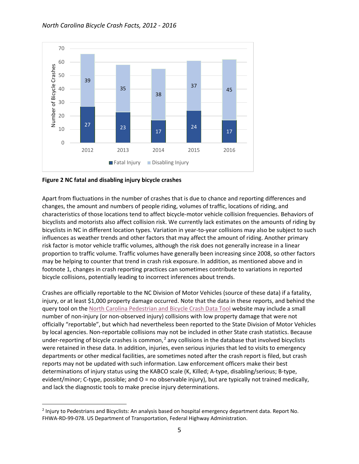

<span id="page-6-0"></span>**Figure 2 NC fatal and disabling injury bicycle crashes**

Apart from fluctuations in the number of crashes that is due to chance and reporting differences and changes, the amount and numbers of people riding, volumes of traffic, locations of riding, and characteristics of those locations tend to affect bicycle-motor vehicle collision frequencies. Behaviors of bicyclists and motorists also affect collision risk. We currently lack estimates on the amounts of riding by bicyclists in NC in different location types. Variation in year-to-year collisions may also be subject to such influences as weather trends and other factors that may affect the amount of riding. Another primary risk factor is motor vehicle traffic volumes, although the risk does not generally increase in a linear proportion to traffic volume. Traffic volumes have generally been increasing since 2008, so other factors may be helping to counter that trend in crash risk exposure. In addition, as mentioned above and in footnote 1, changes in crash reporting practices can sometimes contribute to variations in reported bicycle collisions, potentially leading to incorrect inferences about trends.

Crashes are officially reportable to the NC Division of Motor Vehicles (source of these data) if a fatality, injury, or at least \$1,000 property damage occurred. Note that the data in these reports, and behind the query tool on the [North Carolina Pedestrian and Bicycle Crash Data Tool](http://www.pedbikeinfo.org/pbcat_nc/_ped.cfm) website may include a small number of non-injury (or non-observed injury) collisions with low property damage that were not officially "reportable", but which had nevertheless been reported to the State Division of Motor Vehicles by local agencies. Non-reportable collisions may not be included in other State crash statistics. Because under-reporting of bicycle crashes is common, $<sup>2</sup>$  $<sup>2</sup>$  $<sup>2</sup>$  any collisions in the database that involved bicyclists</sup> were retained in these data. In addition, injuries, even serious injuries that led to visits to emergency departments or other medical facilities, are sometimes noted after the crash report is filed, but crash reports may not be updated with such information. Law enforcement officers make their best determinations of injury status using the KABCO scale (K, Killed; A-type, disabling/serious; B-type, evident/minor; C-type, possible; and O = no observable injury), but are typically not trained medically, and lack the diagnostic tools to make precise injury determinations.

<span id="page-6-1"></span> <sup>2</sup> Injury to Pedestrians and Bicyclists: An analysis based on hospital emergency department data. Report No. FHWA-RD-99-078. US Department of Transportation, Federal Highway Administration.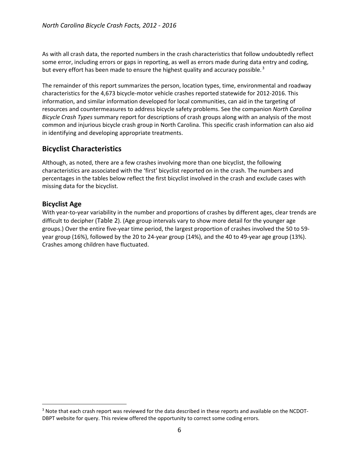As with all crash data, the reported numbers in the crash characteristics that follow undoubtedly reflect some error, including errors or gaps in reporting, as well as errors made during data entry and coding, but every effort has been made to ensure the highest quality and accuracy possible.<sup>[3](#page-7-2)</sup>

The remainder of this report summarizes the person, location types, time, environmental and roadway characteristics for the 4,673 bicycle-motor vehicle crashes reported statewide for 2012-2016. This information, and similar information developed for local communities, can aid in the targeting of resources and countermeasures to address bicycle safety problems. See the companion *North Carolina Bicycle Crash Types* summary report for descriptions of crash groups along with an analysis of the most common and injurious bicycle crash group in North Carolina. This specific crash information can also aid in identifying and developing appropriate treatments.

## <span id="page-7-0"></span>**Bicyclist Characteristics**

Although, as noted, there are a few crashes involving more than one bicyclist, the following characteristics are associated with the 'first' bicyclist reported on in the crash. The numbers and percentages in the tables below reflect the first bicyclist involved in the crash and exclude cases with missing data for the bicyclist.

## <span id="page-7-1"></span>**Bicyclist Age**

With year-to-year variability in the number and proportions of crashes by different ages, clear trends are difficult to decipher [\(Table 2\)](#page-8-0). (Age group intervals vary to show more detail for the younger age groups.) Over the entire five-year time period, the largest proportion of crashes involved the 50 to 59 year group (16%), followed by the 20 to 24-year group (14%), and the 40 to 49-year age group (13%). Crashes among children have fluctuated.

<span id="page-7-2"></span><sup>&</sup>lt;sup>3</sup> Note that each crash report was reviewed for the data described in these reports and available on the NCDOT-DBPT website for query. This review offered the opportunity to correct some coding errors.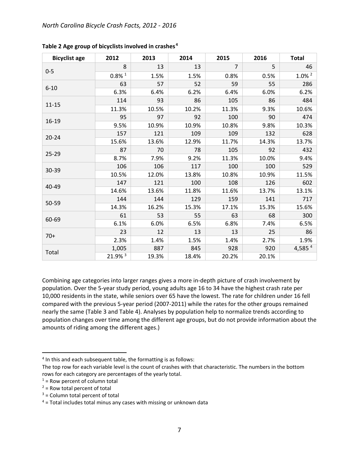| <b>Bicyclist age</b> | 2012                 | 2013  | 2014  | 2015           | 2016  | <b>Total</b>         |
|----------------------|----------------------|-------|-------|----------------|-------|----------------------|
|                      | 8                    | 13    | 13    | $\overline{7}$ | 5     | 46                   |
| $0 - 5$              | $0.8\%$ <sup>1</sup> | 1.5%  | 1.5%  | 0.8%           | 0.5%  | $1.0\%$ <sup>2</sup> |
|                      | 63                   | 57    | 52    | 59             | 55    | 286                  |
| $6 - 10$             | 6.3%                 | 6.4%  | 6.2%  | 6.4%           | 6.0%  | 6.2%                 |
| $11 - 15$            | 114                  | 93    | 86    | 105            | 86    | 484                  |
|                      | 11.3%                | 10.5% | 10.2% | 11.3%          | 9.3%  | 10.6%                |
|                      | 95                   | 97    | 92    | 100            | 90    | 474                  |
| 16-19                | 9.5%                 | 10.9% | 10.9% | 10.8%          | 9.8%  | 10.3%                |
| $20 - 24$            | 157                  | 121   | 109   | 109            | 132   | 628                  |
|                      | 15.6%                | 13.6% | 12.9% | 11.7%          | 14.3% | 13.7%                |
|                      | 87                   | 70    | 78    | 105            | 92    | 432                  |
| $25 - 29$            | 8.7%                 | 7.9%  | 9.2%  | 11.3%          | 10.0% | 9.4%                 |
| 30-39                | 106                  | 106   | 117   | 100            | 100   | 529                  |
|                      | 10.5%                | 12.0% | 13.8% | 10.8%          | 10.9% | 11.5%                |
| 40-49                | 147                  | 121   | 100   | 108            | 126   | 602                  |
|                      | 14.6%                | 13.6% | 11.8% | 11.6%          | 13.7% | 13.1%                |
| 50-59                | 144                  | 144   | 129   | 159            | 141   | 717                  |
|                      | 14.3%                | 16.2% | 15.3% | 17.1%          | 15.3% | 15.6%                |
| 60-69                | 61                   | 53    | 55    | 63             | 68    | 300                  |
|                      | 6.1%                 | 6.0%  | 6.5%  | 6.8%           | 7.4%  | 6.5%                 |
| $70+$                | 23                   | 12    | 13    | 13             | 25    | 86                   |
|                      | 2.3%                 | 1.4%  | 1.5%  | 1.4%           | 2.7%  | 1.9%                 |
| Total                | 1,005                | 887   | 845   | 928            | 920   | 4,585 $4$            |
|                      | 21.9% 3              | 19.3% | 18.4% | 20.2%          | 20.1% |                      |

<span id="page-8-0"></span>**Table 2 Age group of bicyclists involved in crashes [4](#page-8-1)**

Combining age categories into larger ranges gives a more in-depth picture of crash involvement by population. Over the 5-year study period, young adults age 16 to 34 have the highest crash rate per 10,000 residents in the state, while seniors over 65 have the lowest. The rate for children under 16 fell compared with the previous 5-year period (2007-2011) while the rates for the other groups remained nearly the same [\(Table 3](#page-9-1) an[d Table 4\)](#page-9-2). Analyses by population help to normalize trends according to population changes over time among the different age groups, but do not provide information about the amounts of riding among the different ages.)

<span id="page-8-1"></span><sup>&</sup>lt;sup>4</sup> In this and each subsequent table, the formatting is as follows:

The top row for each variable level is the count of crashes with that characteristic. The numbers in the bottom rows for each category are percentages of the yearly total.

 $1 =$  Row percent of column total

 $2$  = Row total percent of total

 $3 =$  Column total percent of total

 $4$  = Total includes total minus any cases with missing or unknown data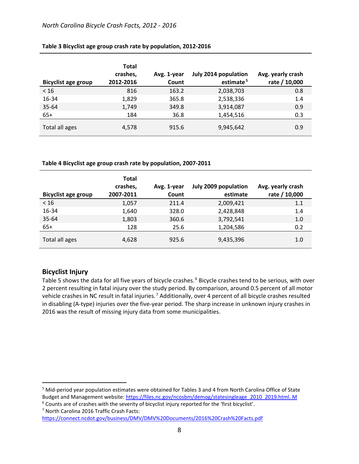| <b>Bicyclist age group</b> | <b>Total</b><br>crashes,<br>2012-2016 | Avg. 1-year<br>Count | July 2014 population<br>estimate <sup>5</sup> | Avg. yearly crash<br>rate / 10,000 |
|----------------------------|---------------------------------------|----------------------|-----------------------------------------------|------------------------------------|
| < 16                       | 816                                   | 163.2                | 2,038,703                                     | 0.8                                |
| 16-34                      | 1,829                                 | 365.8                | 2,538,336                                     | 1.4                                |
| 35-64                      | 1,749                                 | 349.8                | 3,914,087                                     | 0.9                                |
| $65+$                      | 184                                   | 36.8                 | 1,454,516                                     | 0.3                                |
| Total all ages             | 4,578                                 | 915.6                | 9,945,642                                     | 0.9                                |

#### <span id="page-9-1"></span>**Table 3 Bicyclist age group crash rate by population, 2012-2016**

<span id="page-9-2"></span>**Table 4 Bicyclist age group crash rate by population, 2007-2011**

| <b>Bicyclist age group</b> | <b>Total</b><br>crashes,<br>2007-2011 | Avg. 1-year<br>Count | July 2009 population<br>estimate | Avg. yearly crash<br>rate / 10,000 |
|----------------------------|---------------------------------------|----------------------|----------------------------------|------------------------------------|
| < 16                       | 1,057                                 | 211.4                | 2,009,421                        | 1.1                                |
| 16-34                      | 1,640                                 | 328.0                | 2,428,848                        | 1.4                                |
| 35-64                      | 1,803                                 | 360.6                | 3,792,541                        | 1.0                                |
| $65+$                      | 128                                   | 25.6                 | 1,204,586                        | 0.2                                |
| Total all ages             | 4,628                                 | 925.6                | 9,435,396                        | 1.0                                |

## <span id="page-9-0"></span>**Bicyclist Injury**

[Table 5](#page-10-1) shows the data for all five years of bicycle crashes.<sup>[6](#page-9-4)</sup> Bicycle crashes tend to be serious, with over 2 percent resulting in fatal injury over the study period. By comparison, around 0.5 percent of all motor vehicle crashes in NC result in fatal injuries. [7](#page-9-5) Additionally, over 4 percent of all bicycle crashes resulted in disabling (A-type) injuries over the five-year period. The sharp increase in unknown injury crashes in 2016 was the result of missing injury data from some municipalities.

<span id="page-9-3"></span> 5 Mid-period year population estimates were obtained for Tables 3 and 4 from North Carolina Office of State Budget and Management website[: https://files.nc.gov/ncosbm/demog/statesingleage\\_2010\\_2019.html.](https://files.nc.gov/ncosbm/demog/statesingleage_2010_2019.html) M

<span id="page-9-5"></span><span id="page-9-4"></span><sup>6</sup> Counts are of crashes with the severity of bicyclist injury reported for the 'first bicyclist'. <sup>7</sup> North Carolina 2016 Traffic Crash Facts:

<https://connect.ncdot.gov/business/DMV/DMV%20Documents/2016%20Crash%20Facts.pdf>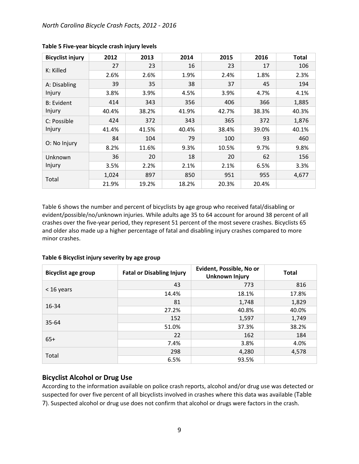| <b>Bicyclist injury</b> | 2012  | 2013  | 2014  | 2015  | 2016  | <b>Total</b> |
|-------------------------|-------|-------|-------|-------|-------|--------------|
|                         | 27    | 23    | 16    | 23    | 17    | 106          |
| K: Killed               | 2.6%  | 2.6%  | 1.9%  | 2.4%  | 1.8%  | 2.3%         |
| A: Disabling            | 39    | 35    | 38    | 37    | 45    | 194          |
| Injury                  | 3.8%  | 3.9%  | 4.5%  | 3.9%  | 4.7%  | 4.1%         |
| <b>B: Evident</b>       | 414   | 343   | 356   | 406   | 366   | 1,885        |
| Injury                  | 40.4% | 38.2% | 41.9% | 42.7% | 38.3% | 40.3%        |
| C: Possible             | 424   | 372   | 343   | 365   | 372   | 1,876        |
| Injury                  | 41.4% | 41.5% | 40.4% | 38.4% | 39.0% | 40.1%        |
|                         | 84    | 104   | 79    | 100   | 93    | 460          |
| O: No Injury            | 8.2%  | 11.6% | 9.3%  | 10.5% | 9.7%  | 9.8%         |
| Unknown                 | 36    | 20    | 18    | 20    | 62    | 156          |
| Injury                  | 3.5%  | 2.2%  | 2.1%  | 2.1%  | 6.5%  | 3.3%         |
|                         | 1,024 | 897   | 850   | 951   | 955   | 4,677        |
| Total                   | 21.9% | 19.2% | 18.2% | 20.3% | 20.4% |              |

<span id="page-10-1"></span>**Table 5 Five-year bicycle crash injury levels**

[Table 6](#page-10-2) shows the number and percent of bicyclists by age group who received fatal/disabling or evident/possible/no/unknown injuries. While adults age 35 to 64 account for around 38 percent of all crashes over the five-year period, they represent 51 percent of the most severe crashes. Bicyclists 65 and older also made up a higher percentage of fatal and disabling injury crashes compared to more minor crashes.

| <b>Bicyclist age group</b> | <b>Fatal or Disabling Injury</b> | Evident, Possible, No or<br><b>Unknown Injury</b> | <b>Total</b> |
|----------------------------|----------------------------------|---------------------------------------------------|--------------|
| < 16 years                 | 43                               | 773                                               | 816          |
|                            | 14.4%                            | 18.1%                                             | 17.8%        |
| 16-34                      | 81                               | 1,748                                             | 1,829        |
|                            | 27.2%                            | 40.8%                                             | 40.0%        |
|                            | 152                              | 1,597                                             | 1,749        |
| $35 - 64$                  | 51.0%                            | 37.3%                                             | 38.2%        |
|                            | 22                               | 162                                               | 184          |
| $65+$                      | 7.4%                             | 3.8%                                              | 4.0%         |
|                            | 298                              | 4,280                                             | 4,578        |
| Total                      | 6.5%                             | 93.5%                                             |              |

<span id="page-10-2"></span>**Table 6 Bicyclist injury severity by age group**

#### <span id="page-10-0"></span>**Bicyclist Alcohol or Drug Use**

According to the information available on police crash reports, alcohol and/or drug use was detected or suspected for over five percent of all bicyclists involved in crashes where this data was available [\(Table](#page-11-1)  [7\)](#page-11-1). Suspected alcohol or drug use does not confirm that alcohol or drugs were factors in the crash.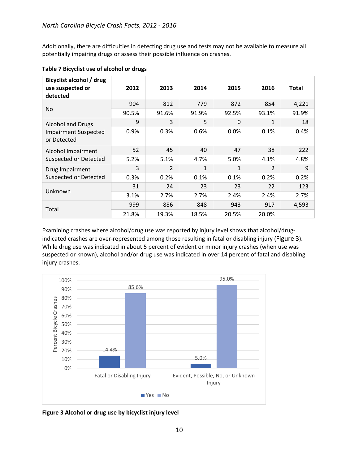Additionally, there are difficulties in detecting drug use and tests may not be available to measure all potentially impairing drugs or assess their possible influence on crashes.

| Bicyclist alcohol / drug<br>use suspected or<br>detected | 2012  | 2013           | 2014         | 2015         | 2016           | <b>Total</b> |
|----------------------------------------------------------|-------|----------------|--------------|--------------|----------------|--------------|
|                                                          | 904   | 812            | 779          | 872          | 854            | 4,221        |
| N <sub>o</sub>                                           | 90.5% | 91.6%          | 91.9%        | 92.5%        | 93.1%          | 91.9%        |
| <b>Alcohol and Drugs</b>                                 | 9     | 3              | 5            | $\Omega$     | $\mathbf{1}$   | 18           |
| <b>Impairment Suspected</b><br>or Detected               | 0.9%  | 0.3%           | 0.6%         | 0.0%         | 0.1%           | 0.4%         |
| Alcohol Impairment                                       | 52    | 45             | 40           | 47           | 38             | 222          |
| <b>Suspected or Detected</b>                             | 5.2%  | 5.1%           | 4.7%         | 5.0%         | 4.1%           | 4.8%         |
| Drug Impairment                                          | 3     | $\overline{2}$ | $\mathbf{1}$ | $\mathbf{1}$ | $\overline{2}$ | 9            |
| <b>Suspected or Detected</b>                             | 0.3%  | 0.2%           | 0.1%         | 0.1%         | 0.2%           | 0.2%         |
|                                                          | 31    | 24             | 23           | 23           | 22             | 123          |
| Unknown                                                  | 3.1%  | 2.7%           | 2.7%         | 2.4%         | 2.4%           | 2.7%         |
|                                                          | 999   | 886            | 848          | 943          | 917            | 4,593        |
| Total                                                    | 21.8% | 19.3%          | 18.5%        | 20.5%        | 20.0%          |              |

#### <span id="page-11-1"></span>**Table 7 Bicyclist use of alcohol or drugs**

Examining crashes where alcohol/drug use was reported by injury level shows that alcohol/drugindicated crashes are over-represented among those resulting in fatal or disabling injury [\(Figure 3\)](#page-11-0). While drug use was indicated in about 5 percent of evident or minor injury crashes (when use was suspected or known), alcohol and/or drug use was indicated in over 14 percent of fatal and disabling injury crashes.



<span id="page-11-0"></span>**Figure 3 Alcohol or drug use by bicyclist injury level**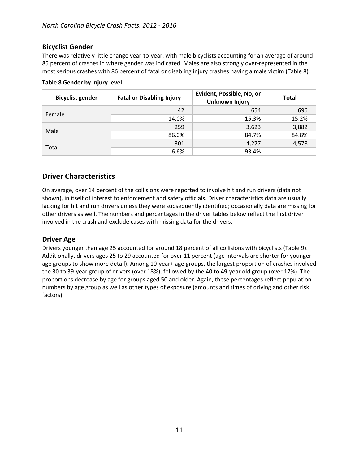## <span id="page-12-0"></span>**Bicyclist Gender**

There was relatively little change year-to-year, with male bicyclists accounting for an average of around 85 percent of crashes in where gender was indicated. Males are also strongly over-represented in the most serious crashes with 86 percent of fatal or disabling injury crashes having a male victim [\(Table 8\)](#page-12-3).

| <b>Bicyclist gender</b> | <b>Fatal or Disabling Injury</b> | Evident, Possible, No, or<br><b>Unknown Injury</b> | <b>Total</b> |
|-------------------------|----------------------------------|----------------------------------------------------|--------------|
| Female                  | 42                               | 654                                                | 696          |
|                         | 14.0%                            | 15.3%                                              | 15.2%        |
| Male                    | 259                              | 3,623                                              | 3,882        |
|                         | 86.0%                            | 84.7%                                              | 84.8%        |
| Total                   | 301                              | 4,277                                              | 4,578        |
|                         | 6.6%                             | 93.4%                                              |              |

#### <span id="page-12-3"></span>**Table 8 Gender by injury level**

## <span id="page-12-1"></span>**Driver Characteristics**

On average, over 14 percent of the collisions were reported to involve hit and run drivers (data not shown), in itself of interest to enforcement and safety officials. Driver characteristics data are usually lacking for hit and run drivers unless they were subsequently identified; occasionally data are missing for other drivers as well. The numbers and percentages in the driver tables below reflect the first driver involved in the crash and exclude cases with missing data for the drivers.

#### <span id="page-12-2"></span>**Driver Age**

Drivers younger than age 25 accounted for around 18 percent of all collisions with bicyclists [\(Table 9\)](#page-13-1). Additionally, drivers ages 25 to 29 accounted for over 11 percent (age intervals are shorter for younger age groups to show more detail). Among 10-year+ age groups, the largest proportion of crashes involved the 30 to 39-year group of drivers (over 18%), followed by the 40 to 49-year old group (over 17%). The proportions decrease by age for groups aged 50 and older. Again, these percentages reflect population numbers by age group as well as other types of exposure (amounts and times of driving and other risk factors).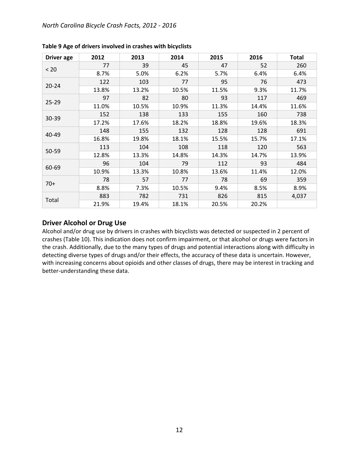| <b>Driver</b> age | 2012  | 2013  | 2014  | 2015  | 2016  | <b>Total</b> |
|-------------------|-------|-------|-------|-------|-------|--------------|
|                   | 77    | 39    | 45    | 47    | 52    | 260          |
| < 20              | 8.7%  | 5.0%  | 6.2%  | 5.7%  | 6.4%  | 6.4%         |
| $20 - 24$         | 122   | 103   | 77    | 95    | 76    | 473          |
|                   | 13.8% | 13.2% | 10.5% | 11.5% | 9.3%  | 11.7%        |
|                   | 97    | 82    | 80    | 93    | 117   | 469          |
| $25 - 29$         | 11.0% | 10.5% | 10.9% | 11.3% | 14.4% | 11.6%        |
|                   | 152   | 138   | 133   | 155   | 160   | 738          |
| $30 - 39$         | 17.2% | 17.6% | 18.2% | 18.8% | 19.6% | 18.3%        |
| 40-49             | 148   | 155   | 132   | 128   | 128   | 691          |
|                   | 16.8% | 19.8% | 18.1% | 15.5% | 15.7% | 17.1%        |
|                   | 113   | 104   | 108   | 118   | 120   | 563          |
| 50-59             | 12.8% | 13.3% | 14.8% | 14.3% | 14.7% | 13.9%        |
|                   | 96    | 104   | 79    | 112   | 93    | 484          |
| 60-69             | 10.9% | 13.3% | 10.8% | 13.6% | 11.4% | 12.0%        |
|                   | 78    | 57    | 77    | 78    | 69    | 359          |
| $70+$             | 8.8%  | 7.3%  | 10.5% | 9.4%  | 8.5%  | 8.9%         |
|                   | 883   | 782   | 731   | 826   | 815   | 4,037        |
| Total             | 21.9% | 19.4% | 18.1% | 20.5% | 20.2% |              |

<span id="page-13-1"></span>**Table 9 Age of drivers involved in crashes with bicyclists**

#### <span id="page-13-0"></span>**Driver Alcohol or Drug Use**

Alcohol and/or drug use by drivers in crashes with bicyclists was detected or suspected in 2 percent of crashes [\(Table 10\)](#page-14-2). This indication does not confirm impairment, or that alcohol or drugs were factors in the crash. Additionally, due to the many types of drugs and potential interactions along with difficulty in detecting diverse types of drugs and/or their effects, the accuracy of these data is uncertain. However, with increasing concerns about opioids and other classes of drugs, there may be interest in tracking and better-understanding these data.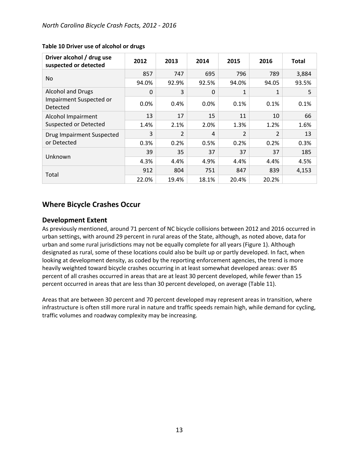| Driver alcohol / drug use<br>suspected or detected       | 2012     | 2013           | 2014     | 2015           | 2016           | <b>Total</b> |
|----------------------------------------------------------|----------|----------------|----------|----------------|----------------|--------------|
| No.                                                      | 857      | 747            | 695      | 796            | 789            | 3,884        |
|                                                          | 94.0%    | 92.9%          | 92.5%    | 94.0%          | 94.05          | 93.5%        |
| Alcohol and Drugs<br>Impairment Suspected or<br>Detected | $\Omega$ | 3              | $\Omega$ | 1              | 1              | 5            |
|                                                          | 0.0%     | 0.4%           | 0.0%     | 0.1%           | 0.1%           | 0.1%         |
| Alcohol Impairment<br>Suspected or Detected              | 13       | 17             | 15       | 11             | 10             | 66           |
|                                                          | 1.4%     | 2.1%           | 2.0%     | 1.3%           | 1.2%           | 1.6%         |
| Drug Impairment Suspected<br>or Detected                 | 3        | $\overline{2}$ | 4        | $\overline{2}$ | $\overline{2}$ | 13           |
|                                                          | 0.3%     | 0.2%           | 0.5%     | 0.2%           | 0.2%           | 0.3%         |
| Unknown                                                  | 39       | 35             | 37       | 37             | 37             | 185          |
|                                                          | 4.3%     | 4.4%           | 4.9%     | 4.4%           | 4.4%           | 4.5%         |
| Total                                                    | 912      | 804            | 751      | 847            | 839            | 4,153        |
|                                                          | 22.0%    | 19.4%          | 18.1%    | 20.4%          | 20.2%          |              |

#### <span id="page-14-2"></span>**Table 10 Driver use of alcohol or drugs**

## <span id="page-14-0"></span>**Where Bicycle Crashes Occur**

#### <span id="page-14-1"></span>**Development Extent**

As previously mentioned, around 71 percent of NC bicycle collisions between 2012 and 2016 occurred in urban settings, with around 29 percent in rural areas of the State, although, as noted above, data for urban and some rural jurisdictions may not be equally complete for all years [\(Figure 1\)](#page-4-1). Although designated as rural, some of these locations could also be built up or partly developed. In fact, when looking at development density, as coded by the reporting enforcement agencies, the trend is more heavily weighted toward bicycle crashes occurring in at least somewhat developed areas: over 85 percent of all crashes occurred in areas that are at least 30 percent developed, while fewer than 15 percent occurred in areas that are less than 30 percent developed, on average [\(Table 11\)](#page-15-3).

Areas that are between 30 percent and 70 percent developed may represent areas in transition, where infrastructure is often still more rural in nature and traffic speeds remain high, while demand for cycling, traffic volumes and roadway complexity may be increasing.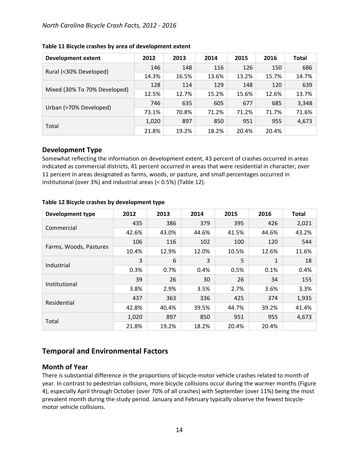#### *North Carolina Bicycle Crash Facts, 2012 - 2016*

| <b>Development extent</b>    | 2012  | 2013  | 2014  | 2015  | 2016  | Total |
|------------------------------|-------|-------|-------|-------|-------|-------|
| Rural (<30% Developed)       | 146   | 148   | 116   | 126   | 150   | 686   |
|                              | 14.3% | 16.5% | 13.6% | 13.2% | 15.7% | 14.7% |
|                              | 128   | 114   | 129   | 148   | 120   | 639   |
| Mixed (30% To 70% Developed) | 12.5% | 12.7% | 15.2% | 15.6% | 12.6% | 13.7% |
| Urban (>70% Developed)       | 746   | 635   | 605   | 677   | 685   | 3,348 |
|                              | 73.1% | 70.8% | 71.2% | 71.2% | 71.7% | 71.6% |
|                              | 1,020 | 897   | 850   | 951   | 955   | 4,673 |
| Total                        | 21.8% | 19.2% | 18.2% | 20.4% | 20.4% |       |

#### <span id="page-15-3"></span>**Table 11 Bicycle crashes by area of development extent**

### <span id="page-15-0"></span>**Development Type**

Somewhat reflecting the information on development extent, 43 percent of crashes occurred in areas indicated as commercial districts, 41 percent occurred in areas that were residential in character, over 11 percent in areas designated as farms, woods, or pasture, and small percentages occurred in institutional (over 3%) and industrial areas (< 0.5%) [\(Table 12\)](#page-15-4).

| Development type       | 2012  | 2013  | 2014  | 2015  | 2016         | <b>Total</b> |
|------------------------|-------|-------|-------|-------|--------------|--------------|
| Commercial             | 435   | 386   | 379   | 395   | 426          | 2,021        |
|                        | 42.6% | 43.0% | 44.6% | 41.5% | 44.6%        | 43.2%        |
| Farms, Woods, Pastures | 106   | 116   | 102   | 100   | 120          | 544          |
|                        | 10.4% | 12.9% | 12.0% | 10.5% | 12.6%        | 11.6%        |
| Industrial             | 3     | 6     | 3     | 5     | $\mathbf{1}$ | 18           |
|                        | 0.3%  | 0.7%  | 0.4%  | 0.5%  | 0.1%         | 0.4%         |
| Institutional          | 39    | 26    | 30    | 26    | 34           | 155          |
|                        | 3.8%  | 2.9%  | 3.5%  | 2.7%  | 3.6%         | 3.3%         |
| Residential            | 437   | 363   | 336   | 425   | 374          | 1,935        |
|                        | 42.8% | 40.4% | 39.5% | 44.7% | 39.2%        | 41.4%        |
| Total                  | 1,020 | 897   | 850   | 951   | 955          | 4,673        |
|                        | 21.8% | 19.2% | 18.2% | 20.4% | 20.4%        |              |

#### <span id="page-15-4"></span>**Table 12 Bicycle crashes by development type**

## <span id="page-15-1"></span>**Temporal and Environmental Factors**

#### <span id="page-15-2"></span>**Month of Year**

There is substantial difference in the proportions of bicycle-motor vehicle crashes related to month of year. In contrast to pedestrian collisions, more bicycle collisions occur during the warmer months [\(Figure](#page-16-1)  [4\)](#page-16-1), especially April through October (over 70% of all crashes) with September (over 11%) being the most prevalent month during the study period. January and February typically observe the fewest bicyclemotor vehicle collisions.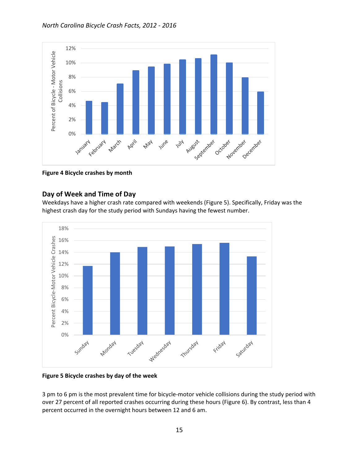

<span id="page-16-1"></span>**Figure 4 Bicycle crashes by month**

### <span id="page-16-0"></span>**Day of Week and Time of Day**

Weekdays have a higher crash rate compared with weekends [\(Figure 5\)](#page-16-2). Specifically, Friday was the highest crash day for the study period with Sundays having the fewest number.



<span id="page-16-2"></span>**Figure 5 Bicycle crashes by day of the week**

3 pm to 6 pm is the most prevalent time for bicycle-motor vehicle collisions during the study period with over 27 percent of all reported crashes occurring during these hours [\(Figure 6\)](#page-17-1). By contrast, less than 4 percent occurred in the overnight hours between 12 and 6 am.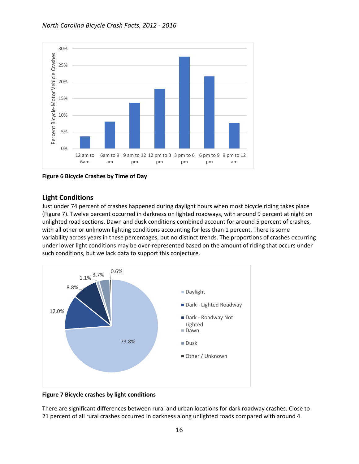

<span id="page-17-1"></span>**Figure 6 Bicycle Crashes by Time of Day**

## <span id="page-17-0"></span>**Light Conditions**

Just under 74 percent of crashes happened during daylight hours when most bicycle riding takes place [\(Figure 7\)](#page-17-2). Twelve percent occurred in darkness on lighted roadways, with around 9 percent at night on unlighted road sections. Dawn and dusk conditions combined account for around 5 percent of crashes, with all other or unknown lighting conditions accounting for less than 1 percent. There is some variability across years in these percentages, but no distinct trends. The proportions of crashes occurring under lower light conditions may be over-represented based on the amount of riding that occurs under such conditions, but we lack data to support this conjecture.



<span id="page-17-2"></span>**Figure 7 Bicycle crashes by light conditions**

There are significant differences between rural and urban locations for dark roadway crashes. Close to 21 percent of all rural crashes occurred in darkness along unlighted roads compared with around 4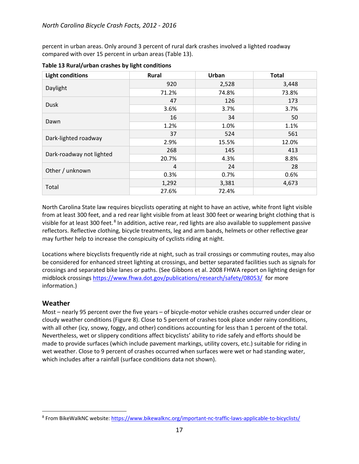percent in urban areas. Only around 3 percent of rural dark crashes involved a lighted roadway compared with over 15 percent in urban areas [\(Table 13\)](#page-18-1).

| <b>Light conditions</b>  | Rural | Urban | <b>Total</b> |
|--------------------------|-------|-------|--------------|
| Daylight                 | 920   | 2,528 | 3,448        |
|                          | 71.2% | 74.8% | 73.8%        |
| <b>Dusk</b>              | 47    | 126   | 173          |
|                          | 3.6%  | 3.7%  | 3.7%         |
| Dawn                     | 16    | 34    | 50           |
|                          | 1.2%  | 1.0%  | 1.1%         |
| Dark-lighted roadway     | 37    | 524   | 561          |
|                          | 2.9%  | 15.5% | 12.0%        |
| Dark-roadway not lighted | 268   | 145   | 413          |
|                          | 20.7% | 4.3%  | 8.8%         |
| Other / unknown          | 4     | 24    | 28           |
|                          | 0.3%  | 0.7%  | 0.6%         |
| Total                    | 1,292 | 3,381 | 4,673        |
|                          | 27.6% | 72.4% |              |

<span id="page-18-1"></span>**Table 13 Rural/urban crashes by light conditions**

North Carolina State law requires bicyclists operating at night to have an active, white front light visible from at least 300 feet, and a red rear light visible from at least 300 feet or wearing bright clothing that is visible for at least 300 feet.<sup>[8](#page-18-2)</sup> In addition, active rear, red lights are also available to supplement passive reflectors. Reflective clothing, bicycle treatments, leg and arm bands, helmets or other reflective gear may further help to increase the conspicuity of cyclists riding at night.

Locations where bicyclists frequently ride at night, such as trail crossings or commuting routes, may also be considered for enhanced street lighting at crossings, and better separated facilities such as signals for crossings and separated bike lanes or paths. (See Gibbons et al. 2008 FHWA report on lighting design for midblock crossings<https://www.fhwa.dot.gov/publications/research/safety/08053/>for more information.)

## <span id="page-18-0"></span>**Weather**

Most – nearly 95 percent over the five years – of bicycle-motor vehicle crashes occurred under clear or cloudy weather conditions [\(Figure 8\)](#page-19-2). Close to 5 percent of crashes took place under rainy conditions, with all other (icy, snowy, foggy, and other) conditions accounting for less than 1 percent of the total. Nevertheless, wet or slippery conditions affect bicyclists' ability to ride safely and efforts should be made to provide surfaces (which include pavement markings, utility covers, etc.) suitable for riding in wet weather. Close to 9 percent of crashes occurred when surfaces were wet or had standing water, which includes after a rainfall (surface conditions data not shown).

<span id="page-18-2"></span> <sup>8</sup> From BikeWalkNC website:<https://www.bikewalknc.org/important-nc-traffic-laws-applicable-to-bicyclists/>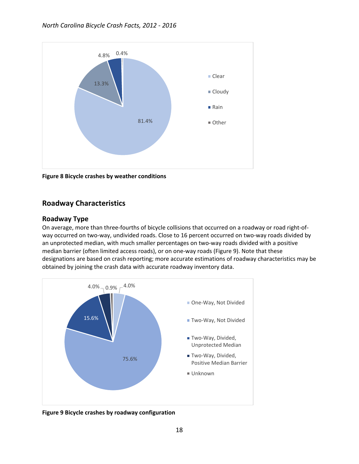

<span id="page-19-2"></span>**Figure 8 Bicycle crashes by weather conditions**

## <span id="page-19-0"></span>**Roadway Characteristics**

## <span id="page-19-1"></span>**Roadway Type**

On average, more than three-fourths of bicycle collisions that occurred on a roadway or road right-ofway occurred on two-way, undivided roads. Close to 16 percent occurred on two-way roads divided by an unprotected median, with much smaller percentages on two-way roads divided with a positive median barrier (often limited access roads), or on one-way roads [\(Figure 9\)](#page-19-3). Note that these designations are based on crash reporting; more accurate estimations of roadway characteristics may be obtained by joining the crash data with accurate roadway inventory data.



<span id="page-19-3"></span>**Figure 9 Bicycle crashes by roadway configuration**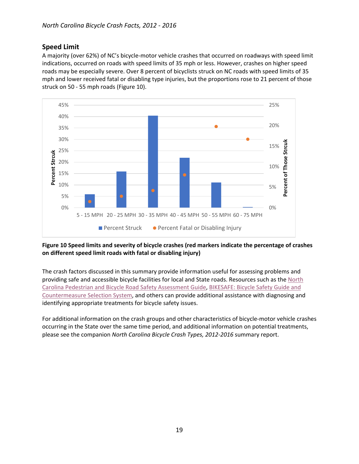## <span id="page-20-0"></span>**Speed Limit**

A majority (over 62%) of NC's bicycle-motor vehicle crashes that occurred on roadways with speed limit indications, occurred on roads with speed limits of 35 mph or less. However, crashes on higher speed roads may be especially severe. Over 8 percent of bicyclists struck on NC roads with speed limits of 35 mph and lower received fatal or disabling type injuries, but the proportions rose to 21 percent of those struck on 50 - 55 mph roads [\(Figure 10\)](#page-20-1).



#### <span id="page-20-1"></span>**Figure 10 Speed limits and severity of bicycle crashes (red markers indicate the percentage of crashes on different speed limit roads with fatal or disabling injury)**

The crash factors discussed in this summary provide information useful for assessing problems and providing safe and accessible bicycle facilities for local and State roads. Resources such as the [North](https://connect.ncdot.gov/projects/research/RNAProjDocs/RSA_Guide_FINAL.pdf)  [Carolina Pedestrian and Bicycle Road Safety Assessment Guide,](https://connect.ncdot.gov/projects/research/RNAProjDocs/RSA_Guide_FINAL.pdf) [BIKESAFE: Bicycle Safety Guide and](http://www.pedbikesafe.org/bikesafe/)  [Countermeasure Selection System,](http://www.pedbikesafe.org/bikesafe/) and others can provide additional assistance with diagnosing and identifying appropriate treatments for bicycle safety issues.

For additional information on the crash groups and other characteristics of bicycle-motor vehicle crashes occurring in the State over the same time period, and additional information on potential treatments, please see the companion *North Carolina Bicycle Crash Types, 2012-2016* summary report.